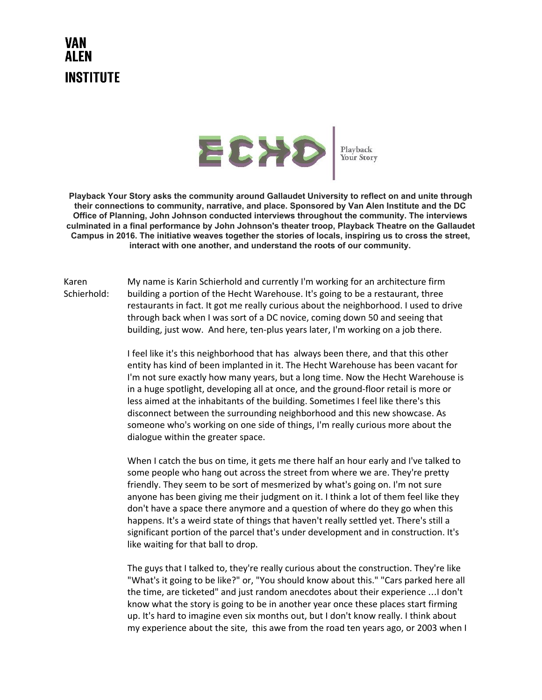## VAN AI FN **INSTITUTE**



Playback Your Story

**Playback Your Story asks the community around Gallaudet University to reflect on and unite through their connections to community, narrative, and place. Sponsored by Van Alen Institute and the DC Office of Planning, John Johnson conducted interviews throughout the community. The interviews culminated in a final performance by John Johnson's theater troop, Playback Theatre on the Gallaudet Campus in 2016. The initiative weaves together the stories of locals, inspiring us to cross the street, interact with one another, and understand the roots of our community.**

Karen Schierhold: My name is Karin Schierhold and currently I'm working for an architecture firm building a portion of the Hecht Warehouse. It's going to be a restaurant, three restaurants in fact. It got me really curious about the neighborhood. I used to drive through back when I was sort of a DC novice, coming down 50 and seeing that building, just wow. And here, ten-plus years later, I'm working on a job there.

> I feel like it's this neighborhood that has always been there, and that this other entity has kind of been implanted in it. The Hecht Warehouse has been vacant for I'm not sure exactly how many years, but a long time. Now the Hecht Warehouse is in a huge spotlight, developing all at once, and the ground-floor retail is more or less aimed at the inhabitants of the building. Sometimes I feel like there's this disconnect between the surrounding neighborhood and this new showcase. As someone who's working on one side of things, I'm really curious more about the dialogue within the greater space.

> When I catch the bus on time, it gets me there half an hour early and I've talked to some people who hang out across the street from where we are. They're pretty friendly. They seem to be sort of mesmerized by what's going on. I'm not sure anyone has been giving me their judgment on it. I think a lot of them feel like they don't have a space there anymore and a question of where do they go when this happens. It's a weird state of things that haven't really settled yet. There's still a significant portion of the parcel that's under development and in construction. It's like waiting for that ball to drop.

The guys that I talked to, they're really curious about the construction. They're like "What's it going to be like?" or, "You should know about this." "Cars parked here all the time, are ticketed" and just random anecdotes about their experience …I don't know what the story is going to be in another year once these places start firming up. It's hard to imagine even six months out, but I don't know really. I think about my experience about the site, this awe from the road ten years ago, or 2003 when I